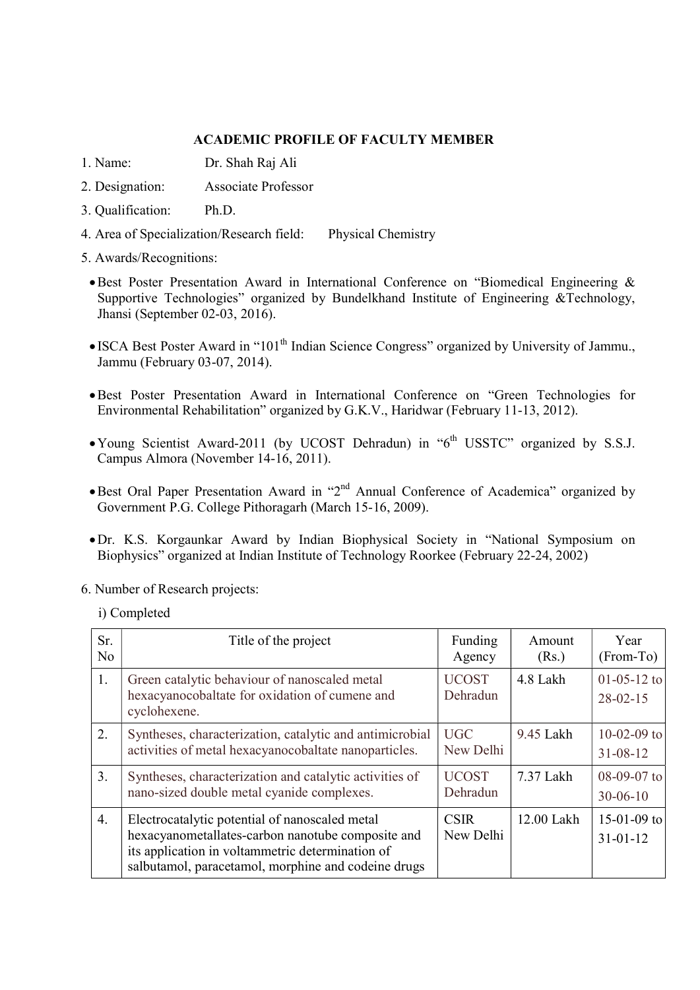## ACADEMIC PROFILE OF FACULTY MEMBER

- 1. Name: Dr. Shah Raj Ali
- 2. Designation: Associate Professor
- 3. Qualification: Ph.D.
- 4. Area of Specialization/Research field: Physical Chemistry
- 5. Awards/Recognitions:
- Best Poster Presentation Award in International Conference on "Biomedical Engineering & Supportive Technologies" organized by Bundelkhand Institute of Engineering &Technology, Jhansi (September 02-03, 2016).
- ISCA Best Poster Award in "101<sup>th</sup> Indian Science Congress" organized by University of Jammu., Jammu (February 03-07, 2014).
- Best Poster Presentation Award in International Conference on "Green Technologies for Environmental Rehabilitation" organized by G.K.V., Haridwar (February 11-13, 2012).
- Young Scientist Award-2011 (by UCOST Dehradun) in " $6<sup>th</sup>$  USSTC" organized by S.S.J. Campus Almora (November 14-16, 2011).
- Best Oral Paper Presentation Award in "2nd Annual Conference of Academica" organized by Government P.G. College Pithoragarh (March 15-16, 2009).
- Dr. K.S. Korgaunkar Award by Indian Biophysical Society in "National Symposium on Biophysics" organized at Indian Institute of Technology Roorkee (February 22-24, 2002)
- 6. Number of Research projects:
	- i) Completed

| Sr.<br>N <sub>o</sub> | Title of the project                                                                                                                                                                                           | Funding<br>Agency        | Amount<br>(Rs.) | Year<br>(From-To)               |
|-----------------------|----------------------------------------------------------------------------------------------------------------------------------------------------------------------------------------------------------------|--------------------------|-----------------|---------------------------------|
| 1.                    | Green catalytic behaviour of nanoscaled metal<br>hexacyanocobaltate for oxidation of cumene and<br>cyclohexene.                                                                                                | <b>UCOST</b><br>Dehradun | 4.8 Lakh        | $01-05-12$ to<br>$28 - 02 - 15$ |
| 2.                    | Syntheses, characterization, catalytic and antimicrobial<br>activities of metal hexacyanocobaltate nanoparticles.                                                                                              | <b>UGC</b><br>New Delhi  | 9.45 Lakh       | $10-02-09$ to<br>$31 - 08 - 12$ |
| 3.                    | Syntheses, characterization and catalytic activities of<br>nano-sized double metal cyanide complexes.                                                                                                          | <b>UCOST</b><br>Dehradun | 7.37 Lakh       | $08-09-07$ to<br>$30 - 06 - 10$ |
| 4.                    | Electrocatalytic potential of nanoscaled metal<br>hexacyanometallates-carbon nanotube composite and<br>its application in voltammetric determination of<br>salbutamol, paracetamol, morphine and codeine drugs | <b>CSIR</b><br>New Delhi | 12.00 Lakh      | $15-01-09$ to<br>$31 - 01 - 12$ |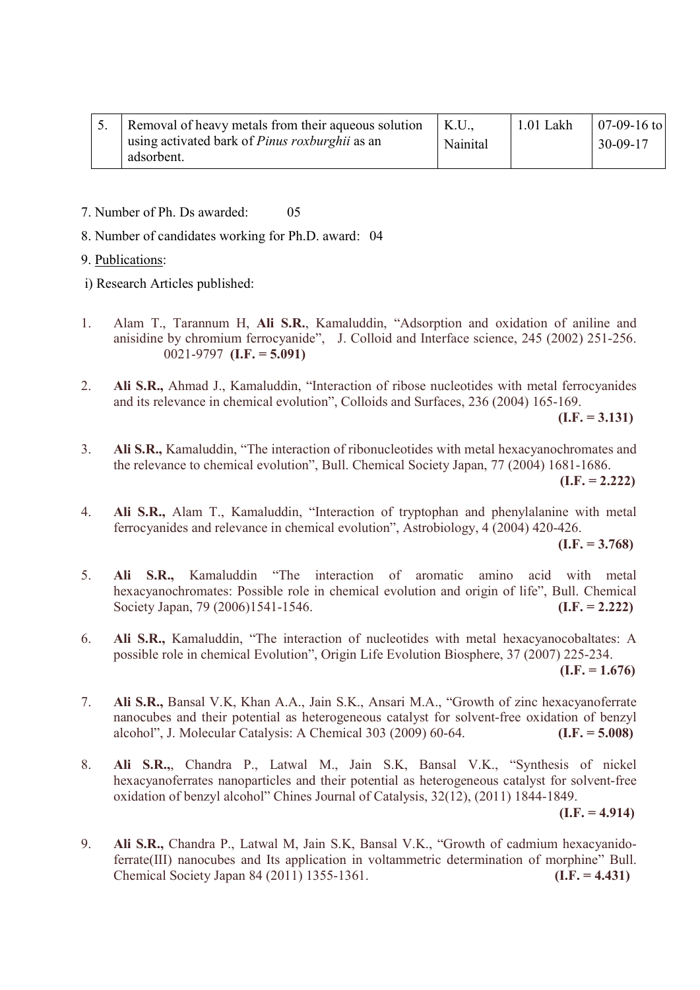| 5. Removal of heavy metals from their aqueous solution   K.U., |          | $\perp$ 1.01 Lakh | $07-09-16$ to |
|----------------------------------------------------------------|----------|-------------------|---------------|
| using activated bark of <i>Pinus roxburghii</i> as an          | Nainital |                   | $30-09-17$    |
| adsorbent.                                                     |          |                   |               |

- 7. Number of Ph. Ds awarded: 05
- 8. Number of candidates working for Ph.D. award: 04
- 9. Publications:
- i) Research Articles published:
- 1. Alam T., Tarannum H, Ali S.R., Kamaluddin, "Adsorption and oxidation of aniline and anisidine by chromium ferrocyanide", J. Colloid and Interface science, 245 (2002) 251-256. 0021-9797 (I.F. =  $5.091$ )
- 2. Ali S.R., Ahmad J., Kamaluddin, "Interaction of ribose nucleotides with metal ferrocyanides and its relevance in chemical evolution", Colloids and Surfaces, 236 (2004) 165-169.

 $(I.F. = 3.131)$ 

3. Ali S.R., Kamaluddin, "The interaction of ribonucleotides with metal hexacyanochromates and the relevance to chemical evolution", Bull. Chemical Society Japan, 77 (2004) 1681-1686.

 $(I.F. = 2.222)$ 

4. Ali S.R., Alam T., Kamaluddin, "Interaction of tryptophan and phenylalanine with metal ferrocyanides and relevance in chemical evolution", Astrobiology, 4 (2004) 420-426.

 $(I.F. = 3.768)$ 

- 5. Ali S.R., Kamaluddin "The interaction of aromatic amino acid with metal hexacyanochromates: Possible role in chemical evolution and origin of life", Bull. Chemical Society Japan, 79 (2006)1541-1546. (I.F. = 2.222)
- 6. Ali S.R., Kamaluddin, "The interaction of nucleotides with metal hexacyanocobaltates: A possible role in chemical Evolution", Origin Life Evolution Biosphere, 37 (2007) 225-234.

 $(I.F. = 1.676)$ 

- 7. Ali S.R., Bansal V.K, Khan A.A., Jain S.K., Ansari M.A., "Growth of zinc hexacyanoferrate nanocubes and their potential as heterogeneous catalyst for solvent-free oxidation of benzyl alcohol", J. Molecular Catalysis: A Chemical  $303$  (2009) 60-64. (I.F. = 5.008)
- 8. Ali S.R.,, Chandra P., Latwal M., Jain S.K, Bansal V.K., "Synthesis of nickel hexacyanoferrates nanoparticles and their potential as heterogeneous catalyst for solvent-free oxidation of benzyl alcohol" Chines Journal of Catalysis, 32(12), (2011) 1844-1849.  $(I.F. = 4.914)$

9. Ali S.R., Chandra P., Latwal M, Jain S.K, Bansal V.K., "Growth of cadmium hexacyanidoferrate(III) nanocubes and Its application in voltammetric determination of morphine" Bull. Chemical Society Japan 84 (2011) 1355-1361. (I.F. = 4.431)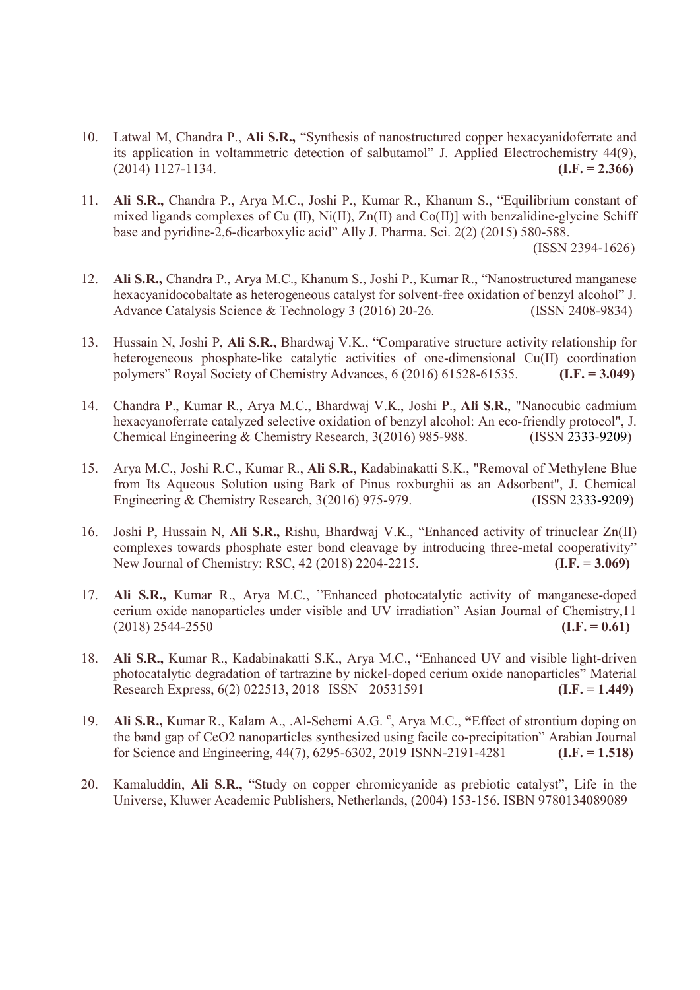- 10. Latwal M, Chandra P., Ali S.R., "Synthesis of nanostructured copper hexacyanidoferrate and its application in voltammetric detection of salbutamol" J. Applied Electrochemistry 44(9),  $(1.014)$  1127-1134.  $(1.014)$  1127-1134.
- 11. Ali S.R., Chandra P., Arya M.C., Joshi P., Kumar R., Khanum S., "Equilibrium constant of mixed ligands complexes of Cu (II), Ni(II), Zn(II) and Co(II)] with benzalidine-glycine Schiff base and pyridine-2,6-dicarboxylic acid" Ally J. Pharma. Sci. 2(2) (2015) 580-588.

(ISSN 2394-1626)

- 12. Ali S.R., Chandra P., Arya M.C., Khanum S., Joshi P., Kumar R., "Nanostructured manganese hexacyanidocobaltate as heterogeneous catalyst for solvent-free oxidation of benzyl alcohol" J. Advance Catalysis Science & Technology 3 (2016) 20-26. (ISSN 2408-9834)
- 13. Hussain N, Joshi P, Ali S.R., Bhardwaj V.K., "Comparative structure activity relationship for heterogeneous phosphate-like catalytic activities of one-dimensional Cu(II) coordination polymers" Royal Society of Chemistry Advances,  $6(2016)$  61528-61535. (I.F. = 3.049)
- 14. Chandra P., Kumar R., Arya M.C., Bhardwaj V.K., Joshi P., Ali S.R., "Nanocubic cadmium hexacyanoferrate catalyzed selective oxidation of benzyl alcohol: An eco-friendly protocol", J. Chemical Engineering & Chemistry Research, 3(2016) 985-988. (ISSN 2333-9209)
- 15. Arya M.C., Joshi R.C., Kumar R., Ali S.R., Kadabinakatti S.K., "Removal of Methylene Blue from Its Aqueous Solution using Bark of Pinus roxburghii as an Adsorbent", J. Chemical Engineering & Chemistry Research, 3(2016) 975-979. (ISSN 2333-9209)
- 16. Joshi P, Hussain N, Ali S.R., Rishu, Bhardwaj V.K., "Enhanced activity of trinuclear Zn(II) complexes towards phosphate ester bond cleavage by introducing three-metal cooperativity" New Journal of Chemistry: RSC, 42 (2018) 2204-2215. (I.F. = 3.069)
- 17. Ali S.R., Kumar R., Arya M.C., "Enhanced photocatalytic activity of manganese-doped cerium oxide nanoparticles under visible and UV irradiation" Asian Journal of Chemistry,11  $(1.018)$  2544-2550 (I.F. = 0.61)
- 18. Ali S.R., Kumar R., Kadabinakatti S.K., Arya M.C., "Enhanced UV and visible light-driven photocatalytic degradation of tartrazine by nickel-doped cerium oxide nanoparticles" Material Research Express, 6(2) 022513, 2018 ISSN 20531591 (I.F. = 1.449)
- 19. Ali S.R., Kumar R., Kalam A., .Al-Sehemi A.G.<sup>c</sup>, Arya M.C., "Effect of strontium doping on the band gap of CeO2 nanoparticles synthesized using facile co-precipitation" Arabian Journal for Science and Engineering,  $44(7)$ ,  $6295-6302$ ,  $2019$  ISNN-2191-4281 (I.F. = 1.518)
- 20. Kamaluddin, Ali S.R., "Study on copper chromicyanide as prebiotic catalyst", Life in the Universe, Kluwer Academic Publishers, Netherlands, (2004) 153-156. ISBN 9780134089089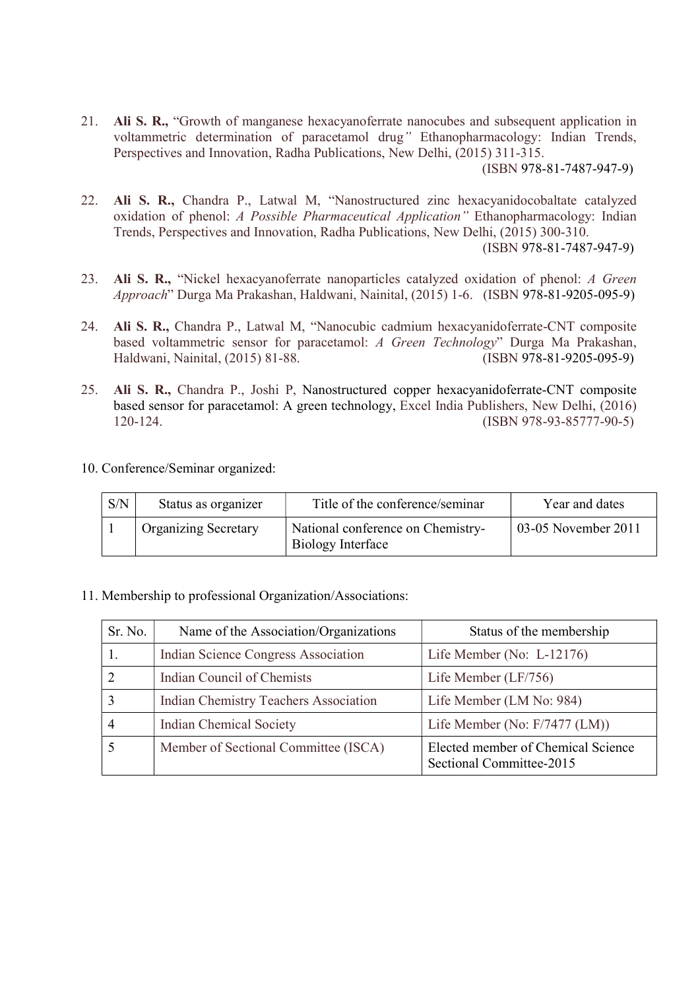21. Ali S. R., "Growth of manganese hexacyanoferrate nanocubes and subsequent application in voltammetric determination of paracetamol drug" Ethanopharmacology: Indian Trends, Perspectives and Innovation, Radha Publications, New Delhi, (2015) 311-315.

(ISBN 978-81-7487-947-9)

22. Ali S. R., Chandra P., Latwal M, "Nanostructured zinc hexacyanidocobaltate catalyzed oxidation of phenol: A Possible Pharmaceutical Application" Ethanopharmacology: Indian Trends, Perspectives and Innovation, Radha Publications, New Delhi, (2015) 300-310.

(ISBN 978-81-7487-947-9)

- 23. Ali S. R., "Nickel hexacyanoferrate nanoparticles catalyzed oxidation of phenol: A Green Approach" Durga Ma Prakashan, Haldwani, Nainital, (2015) 1-6. (ISBN 978-81-9205-095-9)
- 24. Ali S. R., Chandra P., Latwal M, "Nanocubic cadmium hexacyanidoferrate-CNT composite based voltammetric sensor for paracetamol: A Green Technology" Durga Ma Prakashan, Haldwani, Nainital, (2015) 81-88. (ISBN 978-81-9205-095-9)
- 25. Ali S. R., Chandra P., Joshi P, Nanostructured copper hexacyanidoferrate-CNT composite based sensor for paracetamol: A green technology, Excel India Publishers, New Delhi, (2016) 120-124. (ISBN 978-93-85777-90-5)
- 10. Conference/Seminar organized:

| S/N | Status as organizer         | Title of the conference/seminar                        | Year and dates      |
|-----|-----------------------------|--------------------------------------------------------|---------------------|
|     | <b>Organizing Secretary</b> | National conference on Chemistry-<br>Biology Interface | 03-05 November 2011 |

11. Membership to professional Organization/Associations:

| Sr. No. | Name of the Association/Organizations        | Status of the membership                                       |
|---------|----------------------------------------------|----------------------------------------------------------------|
|         | Indian Science Congress Association          | Life Member (No: $L-12176$ )                                   |
|         | Indian Council of Chemists                   | Life Member (LF/756)                                           |
|         | <b>Indian Chemistry Teachers Association</b> | Life Member (LM No: 984)                                       |
|         | Indian Chemical Society                      | Life Member (No: F/7477 (LM))                                  |
|         | Member of Sectional Committee (ISCA)         | Elected member of Chemical Science<br>Sectional Committee-2015 |